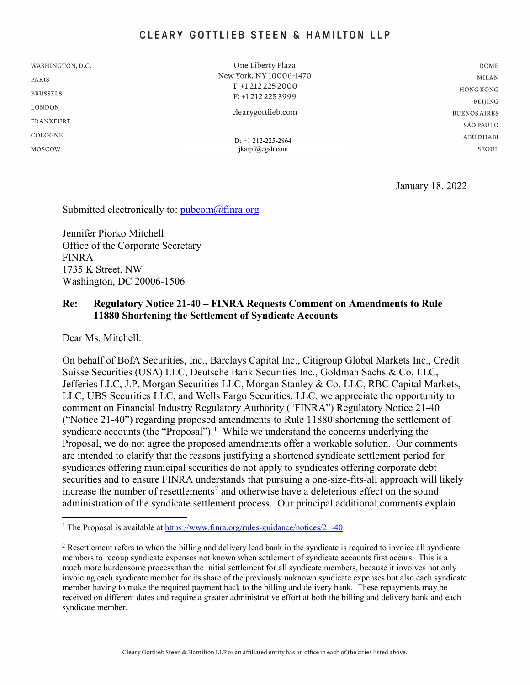# CLEARY GOTTLIEB STEEN & HAMILTON LLP

WASHINGTON, D.C.

PARIS

**BRUSSELS** 

**LONDON** 

**FRANKFURT** 

COLOGNE

MOSCOW

One Liberty Plaza New York, NY 10006-1470 T: +1 212 225 2000 F: +1 212 225 3999

clearygottlieb.com

D: +1 212-225-2864 jkarpf@cgsh.com

**ROME MILAN HONG KONG BEIHNG BUENOS AIRES** SÃO PAULO **ABUDHABI SEQUL** 

January 18, 2022

Submitted electronically to: [pubcom@finra.org](mailto:pubcom@finra.org)

Jennifer Piorko Mitchell Office of the Corporate Secretary FINRA 1735 K Street, NW Washington, DC 20006-1506

#### **Re: Regulatory Notice 21-40 – FINRA Requests Comment on Amendments to Rule 11880 Shortening the Settlement of Syndicate Accounts**

Dear Ms. Mitchell:

On behalf of BofA Securities, Inc., Barclays Capital Inc., Citigroup Global Markets Inc., Credit Suisse Securities (USA) LLC, Deutsche Bank Securities Inc., Goldman Sachs & Co. LLC, Jefferies LLC, J.P. Morgan Securities LLC, Morgan Stanley & Co. LLC, RBC Capital Markets, LLC, UBS Securities LLC, and Wells Fargo Securities, LLC, we appreciate the opportunity to comment on Financial Industry Regulatory Authority ("FINRA") Regulatory Notice 21-40 ("Notice 21-40") regarding proposed amendments to Rule 11880 shortening the settlement of syndicate accounts (the "Proposal").<sup>[1](#page-0-0)</sup> While we understand the concerns underlying the Proposal, we do not agree the proposed amendments offer a workable solution. Our comments are intended to clarify that the reasons justifying a shortened syndicate settlement period for syndicates offering municipal securities do not apply to syndicates offering corporate debt securities and to ensure FINRA understands that pursuing a one-size-fits-all approach will likely increase the number of resettlements<sup>[2](#page-0-1)</sup> and otherwise have a deleterious effect on the sound administration of the syndicate settlement process. Our principal additional comments explain

<span id="page-0-0"></span><sup>&</sup>lt;sup>1</sup> The Proposal is available at https://www.finra.org/rules-guidance/notices/21-40.

<span id="page-0-1"></span><sup>&</sup>lt;sup>2</sup> Resettlement refers to when the billing and delivery lead bank in the syndicate is required to invoice all syndicate members to recoup syndicate expenses not known when settlement of syndicate accounts first occurs. This is a much more burdensome process than the initial settlement for all syndicate members, because it involves not only invoicing each syndicate member for its share of the previously unknown syndicate expenses but also each syndicate member having to make the required payment back to the billing and delivery bank. These repayments may be received on different dates and require a greater administrative effort at both the billing and delivery bank and each syndicate member.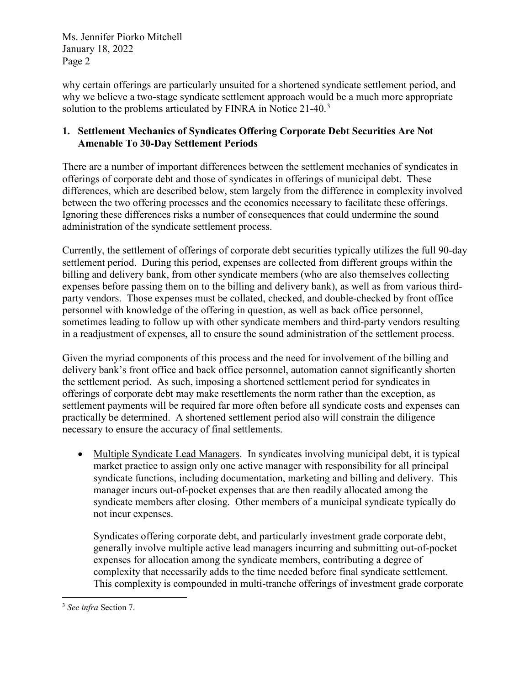why certain offerings are particularly unsuited for a shortened syndicate settlement period, and why we believe a two-stage syndicate settlement approach would be a much more appropriate solution to the problems articulated by FINRA in Notice 21-40.<sup>[3](#page-1-0)</sup>

# **1. Settlement Mechanics of Syndicates Offering Corporate Debt Securities Are Not Amenable To 30-Day Settlement Periods**

There are a number of important differences between the settlement mechanics of syndicates in offerings of corporate debt and those of syndicates in offerings of municipal debt. These differences, which are described below, stem largely from the difference in complexity involved between the two offering processes and the economics necessary to facilitate these offerings. Ignoring these differences risks a number of consequences that could undermine the sound administration of the syndicate settlement process.

Currently, the settlement of offerings of corporate debt securities typically utilizes the full 90-day settlement period. During this period, expenses are collected from different groups within the billing and delivery bank, from other syndicate members (who are also themselves collecting expenses before passing them on to the billing and delivery bank), as well as from various thirdparty vendors. Those expenses must be collated, checked, and double-checked by front office personnel with knowledge of the offering in question, as well as back office personnel, sometimes leading to follow up with other syndicate members and third-party vendors resulting in a readjustment of expenses, all to ensure the sound administration of the settlement process.

Given the myriad components of this process and the need for involvement of the billing and delivery bank's front office and back office personnel, automation cannot significantly shorten the settlement period. As such, imposing a shortened settlement period for syndicates in offerings of corporate debt may make resettlements the norm rather than the exception, as settlement payments will be required far more often before all syndicate costs and expenses can practically be determined. A shortened settlement period also will constrain the diligence necessary to ensure the accuracy of final settlements.

• Multiple Syndicate Lead Managers. In syndicates involving municipal debt, it is typical market practice to assign only one active manager with responsibility for all principal syndicate functions, including documentation, marketing and billing and delivery. This manager incurs out-of-pocket expenses that are then readily allocated among the syndicate members after closing. Other members of a municipal syndicate typically do not incur expenses.

Syndicates offering corporate debt, and particularly investment grade corporate debt, generally involve multiple active lead managers incurring and submitting out-of-pocket expenses for allocation among the syndicate members, contributing a degree of complexity that necessarily adds to the time needed before final syndicate settlement. This complexity is compounded in multi-tranche offerings of investment grade corporate

<span id="page-1-0"></span> <sup>3</sup> *See infra* Section 7.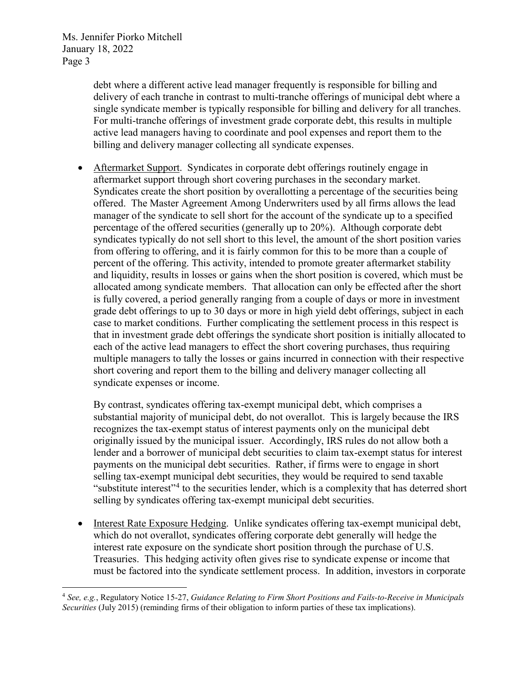> debt where a different active lead manager frequently is responsible for billing and delivery of each tranche in contrast to multi-tranche offerings of municipal debt where a single syndicate member is typically responsible for billing and delivery for all tranches. For multi-tranche offerings of investment grade corporate debt, this results in multiple active lead managers having to coordinate and pool expenses and report them to the billing and delivery manager collecting all syndicate expenses.

• Aftermarket Support. Syndicates in corporate debt offerings routinely engage in aftermarket support through short covering purchases in the secondary market. Syndicates create the short position by overallotting a percentage of the securities being offered. The Master Agreement Among Underwriters used by all firms allows the lead manager of the syndicate to sell short for the account of the syndicate up to a specified percentage of the offered securities (generally up to 20%). Although corporate debt syndicates typically do not sell short to this level, the amount of the short position varies from offering to offering, and it is fairly common for this to be more than a couple of percent of the offering. This activity, intended to promote greater aftermarket stability and liquidity, results in losses or gains when the short position is covered, which must be allocated among syndicate members. That allocation can only be effected after the short is fully covered, a period generally ranging from a couple of days or more in investment grade debt offerings to up to 30 days or more in high yield debt offerings, subject in each case to market conditions. Further complicating the settlement process in this respect is that in investment grade debt offerings the syndicate short position is initially allocated to each of the active lead managers to effect the short covering purchases, thus requiring multiple managers to tally the losses or gains incurred in connection with their respective short covering and report them to the billing and delivery manager collecting all syndicate expenses or income.

By contrast, syndicates offering tax-exempt municipal debt, which comprises a substantial majority of municipal debt, do not overallot. This is largely because the IRS recognizes the tax-exempt status of interest payments only on the municipal debt originally issued by the municipal issuer. Accordingly, IRS rules do not allow both a lender and a borrower of municipal debt securities to claim tax-exempt status for interest payments on the municipal debt securities. Rather, if firms were to engage in short selling tax-exempt municipal debt securities, they would be required to send taxable "substitute interest"<sup>[4](#page-2-0)</sup> to the securities lender, which is a complexity that has deterred short selling by syndicates offering tax-exempt municipal debt securities.

• Interest Rate Exposure Hedging. Unlike syndicates offering tax-exempt municipal debt, which do not overallot, syndicates offering corporate debt generally will hedge the interest rate exposure on the syndicate short position through the purchase of U.S. Treasuries. This hedging activity often gives rise to syndicate expense or income that must be factored into the syndicate settlement process. In addition, investors in corporate

<span id="page-2-0"></span> <sup>4</sup> *See, e.g.*, Regulatory Notice 15-27, *Guidance Relating to Firm Short Positions and Fails-to-Receive in Municipals Securities* (July 2015) (reminding firms of their obligation to inform parties of these tax implications).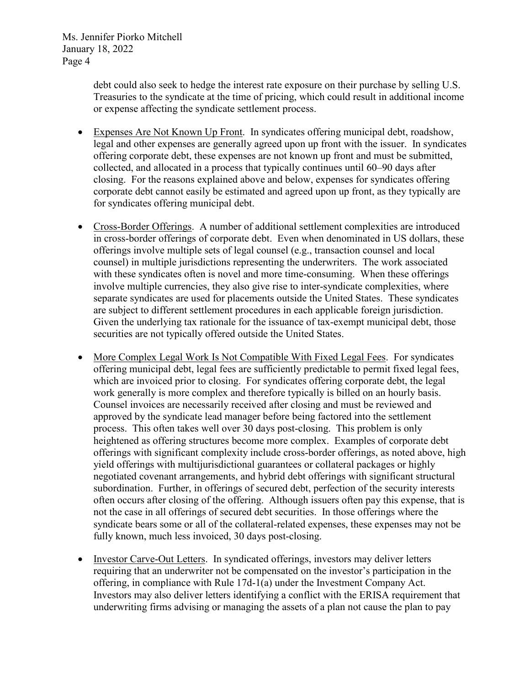> debt could also seek to hedge the interest rate exposure on their purchase by selling U.S. Treasuries to the syndicate at the time of pricing, which could result in additional income or expense affecting the syndicate settlement process.

- Expenses Are Not Known Up Front. In syndicates offering municipal debt, roadshow, legal and other expenses are generally agreed upon up front with the issuer. In syndicates offering corporate debt, these expenses are not known up front and must be submitted, collected, and allocated in a process that typically continues until 60–90 days after closing. For the reasons explained above and below, expenses for syndicates offering corporate debt cannot easily be estimated and agreed upon up front, as they typically are for syndicates offering municipal debt.
- Cross-Border Offerings. A number of additional settlement complexities are introduced in cross-border offerings of corporate debt. Even when denominated in US dollars, these offerings involve multiple sets of legal counsel (e.g., transaction counsel and local counsel) in multiple jurisdictions representing the underwriters. The work associated with these syndicates often is novel and more time-consuming. When these offerings involve multiple currencies, they also give rise to inter-syndicate complexities, where separate syndicates are used for placements outside the United States. These syndicates are subject to different settlement procedures in each applicable foreign jurisdiction. Given the underlying tax rationale for the issuance of tax-exempt municipal debt, those securities are not typically offered outside the United States.
- More Complex Legal Work Is Not Compatible With Fixed Legal Fees. For syndicates offering municipal debt, legal fees are sufficiently predictable to permit fixed legal fees, which are invoiced prior to closing. For syndicates offering corporate debt, the legal work generally is more complex and therefore typically is billed on an hourly basis. Counsel invoices are necessarily received after closing and must be reviewed and approved by the syndicate lead manager before being factored into the settlement process. This often takes well over 30 days post-closing. This problem is only heightened as offering structures become more complex. Examples of corporate debt offerings with significant complexity include cross-border offerings, as noted above, high yield offerings with multijurisdictional guarantees or collateral packages or highly negotiated covenant arrangements, and hybrid debt offerings with significant structural subordination. Further, in offerings of secured debt, perfection of the security interests often occurs after closing of the offering. Although issuers often pay this expense, that is not the case in all offerings of secured debt securities. In those offerings where the syndicate bears some or all of the collateral-related expenses, these expenses may not be fully known, much less invoiced, 30 days post-closing.
- Investor Carve-Out Letters. In syndicated offerings, investors may deliver letters requiring that an underwriter not be compensated on the investor's participation in the offering, in compliance with Rule 17d-1(a) under the Investment Company Act. Investors may also deliver letters identifying a conflict with the ERISA requirement that underwriting firms advising or managing the assets of a plan not cause the plan to pay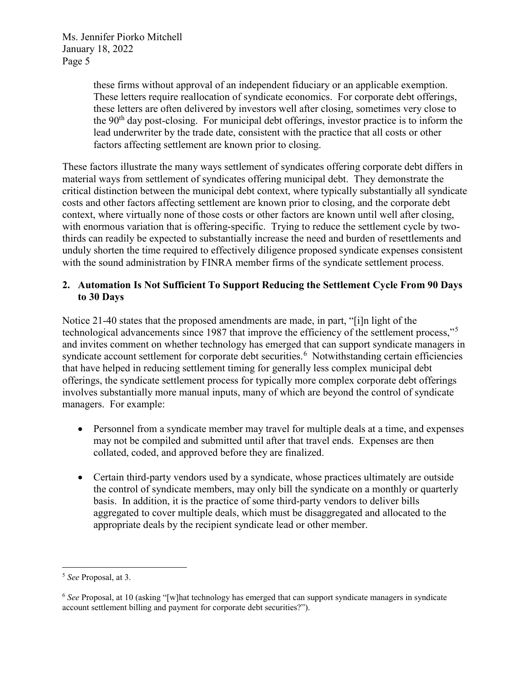> these firms without approval of an independent fiduciary or an applicable exemption. These letters require reallocation of syndicate economics. For corporate debt offerings, these letters are often delivered by investors well after closing, sometimes very close to the  $90<sup>th</sup>$  day post-closing. For municipal debt offerings, investor practice is to inform the lead underwriter by the trade date, consistent with the practice that all costs or other factors affecting settlement are known prior to closing.

These factors illustrate the many ways settlement of syndicates offering corporate debt differs in material ways from settlement of syndicates offering municipal debt. They demonstrate the critical distinction between the municipal debt context, where typically substantially all syndicate costs and other factors affecting settlement are known prior to closing, and the corporate debt context, where virtually none of those costs or other factors are known until well after closing, with enormous variation that is offering-specific. Trying to reduce the settlement cycle by twothirds can readily be expected to substantially increase the need and burden of resettlements and unduly shorten the time required to effectively diligence proposed syndicate expenses consistent with the sound administration by FINRA member firms of the syndicate settlement process.

### **2. Automation Is Not Sufficient To Support Reducing the Settlement Cycle From 90 Days to 30 Days**

Notice 21-40 states that the proposed amendments are made, in part, "[i]n light of the technological advancements since 1987 that improve the efficiency of the settlement process,"[5](#page-4-0) and invites comment on whether technology has emerged that can support syndicate managers in syndicate account settlement for corporate debt securities.<sup>[6](#page-4-1)</sup> Notwithstanding certain efficiencies that have helped in reducing settlement timing for generally less complex municipal debt offerings, the syndicate settlement process for typically more complex corporate debt offerings involves substantially more manual inputs, many of which are beyond the control of syndicate managers. For example:

- Personnel from a syndicate member may travel for multiple deals at a time, and expenses may not be compiled and submitted until after that travel ends. Expenses are then collated, coded, and approved before they are finalized.
- Certain third-party vendors used by a syndicate, whose practices ultimately are outside the control of syndicate members, may only bill the syndicate on a monthly or quarterly basis. In addition, it is the practice of some third-party vendors to deliver bills aggregated to cover multiple deals, which must be disaggregated and allocated to the appropriate deals by the recipient syndicate lead or other member.

<span id="page-4-0"></span> <sup>5</sup> *See* Proposal, at 3.

<span id="page-4-1"></span><sup>6</sup> *See* Proposal, at 10 (asking "[w]hat technology has emerged that can support syndicate managers in syndicate account settlement billing and payment for corporate debt securities?").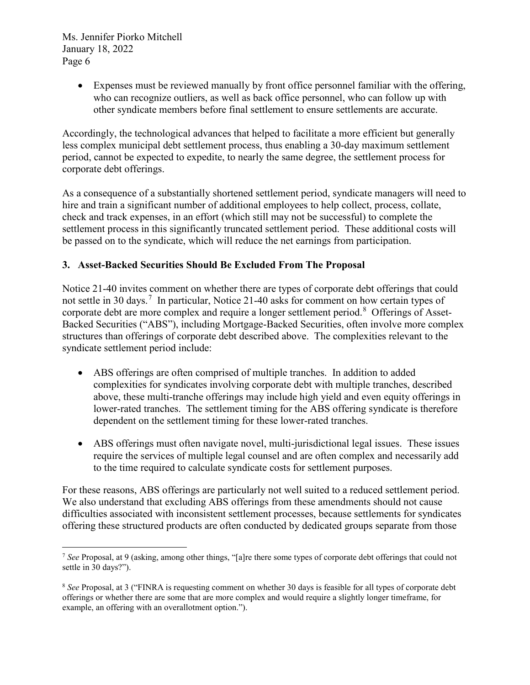> • Expenses must be reviewed manually by front office personnel familiar with the offering, who can recognize outliers, as well as back office personnel, who can follow up with other syndicate members before final settlement to ensure settlements are accurate.

Accordingly, the technological advances that helped to facilitate a more efficient but generally less complex municipal debt settlement process, thus enabling a 30-day maximum settlement period, cannot be expected to expedite, to nearly the same degree, the settlement process for corporate debt offerings.

As a consequence of a substantially shortened settlement period, syndicate managers will need to hire and train a significant number of additional employees to help collect, process, collate, check and track expenses, in an effort (which still may not be successful) to complete the settlement process in this significantly truncated settlement period. These additional costs will be passed on to the syndicate, which will reduce the net earnings from participation.

# **3. Asset-Backed Securities Should Be Excluded From The Proposal**

Notice 21-40 invites comment on whether there are types of corporate debt offerings that could not settle in 30 days.<sup>[7](#page-5-0)</sup> In particular, Notice 21-40 asks for comment on how certain types of corporate debt are more complex and require a longer settlement period.<sup>[8](#page-5-1)</sup> Offerings of Asset-Backed Securities ("ABS"), including Mortgage-Backed Securities, often involve more complex structures than offerings of corporate debt described above. The complexities relevant to the syndicate settlement period include:

- ABS offerings are often comprised of multiple tranches. In addition to added complexities for syndicates involving corporate debt with multiple tranches, described above, these multi-tranche offerings may include high yield and even equity offerings in lower-rated tranches. The settlement timing for the ABS offering syndicate is therefore dependent on the settlement timing for these lower-rated tranches.
- ABS offerings must often navigate novel, multi-jurisdictional legal issues. These issues require the services of multiple legal counsel and are often complex and necessarily add to the time required to calculate syndicate costs for settlement purposes.

For these reasons, ABS offerings are particularly not well suited to a reduced settlement period. We also understand that excluding ABS offerings from these amendments should not cause difficulties associated with inconsistent settlement processes, because settlements for syndicates offering these structured products are often conducted by dedicated groups separate from those

<span id="page-5-0"></span> <sup>7</sup> *See* Proposal, at 9 (asking, among other things, "[a]re there some types of corporate debt offerings that could not settle in 30 days?").

<span id="page-5-1"></span><sup>8</sup> *See* Proposal, at 3 ("FINRA is requesting comment on whether 30 days is feasible for all types of corporate debt offerings or whether there are some that are more complex and would require a slightly longer timeframe, for example, an offering with an overallotment option.").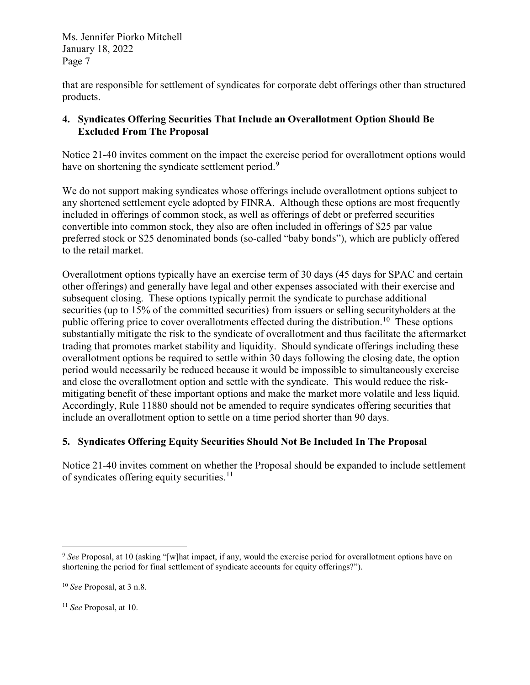that are responsible for settlement of syndicates for corporate debt offerings other than structured products.

# **4. Syndicates Offering Securities That Include an Overallotment Option Should Be Excluded From The Proposal**

Notice 21-40 invites comment on the impact the exercise period for overallotment options would have on shortening the syndicate settlement period.<sup>[9](#page-6-0)</sup>

We do not support making syndicates whose offerings include overallotment options subject to any shortened settlement cycle adopted by FINRA. Although these options are most frequently included in offerings of common stock, as well as offerings of debt or preferred securities convertible into common stock, they also are often included in offerings of \$25 par value preferred stock or \$25 denominated bonds (so-called "baby bonds"), which are publicly offered to the retail market.

Overallotment options typically have an exercise term of 30 days (45 days for SPAC and certain other offerings) and generally have legal and other expenses associated with their exercise and subsequent closing. These options typically permit the syndicate to purchase additional securities (up to 15% of the committed securities) from issuers or selling securityholders at the public offering price to cover overallotments effected during the distribution.<sup>10</sup> These options substantially mitigate the risk to the syndicate of overallotment and thus facilitate the aftermarket trading that promotes market stability and liquidity. Should syndicate offerings including these overallotment options be required to settle within 30 days following the closing date, the option period would necessarily be reduced because it would be impossible to simultaneously exercise and close the overallotment option and settle with the syndicate. This would reduce the riskmitigating benefit of these important options and make the market more volatile and less liquid. Accordingly, Rule 11880 should not be amended to require syndicates offering securities that include an overallotment option to settle on a time period shorter than 90 days.

# **5. Syndicates Offering Equity Securities Should Not Be Included In The Proposal**

Notice 21-40 invites comment on whether the Proposal should be expanded to include settlement of syndicates offering equity securities.<sup>[11](#page-6-2)</sup>

<span id="page-6-0"></span><sup>&</sup>lt;sup>9</sup> See Proposal, at 10 (asking "[w]hat impact, if any, would the exercise period for overallotment options have on shortening the period for final settlement of syndicate accounts for equity offerings?").

<span id="page-6-1"></span><sup>10</sup> *See* Proposal, at 3 n.8.

<span id="page-6-2"></span><sup>11</sup> *See* Proposal, at 10.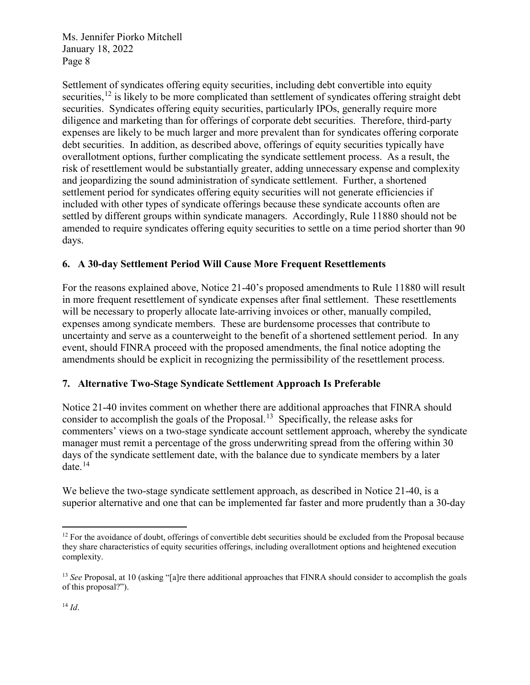Settlement of syndicates offering equity securities, including debt convertible into equity securities,<sup>[12](#page-7-0)</sup> is likely to be more complicated than settlement of syndicates offering straight debt securities. Syndicates offering equity securities, particularly IPOs, generally require more diligence and marketing than for offerings of corporate debt securities. Therefore, third-party expenses are likely to be much larger and more prevalent than for syndicates offering corporate debt securities. In addition, as described above, offerings of equity securities typically have overallotment options, further complicating the syndicate settlement process. As a result, the risk of resettlement would be substantially greater, adding unnecessary expense and complexity and jeopardizing the sound administration of syndicate settlement. Further, a shortened settlement period for syndicates offering equity securities will not generate efficiencies if included with other types of syndicate offerings because these syndicate accounts often are settled by different groups within syndicate managers. Accordingly, Rule 11880 should not be amended to require syndicates offering equity securities to settle on a time period shorter than 90 days.

# **6. A 30-day Settlement Period Will Cause More Frequent Resettlements**

For the reasons explained above, Notice 21-40's proposed amendments to Rule 11880 will result in more frequent resettlement of syndicate expenses after final settlement. These resettlements will be necessary to properly allocate late-arriving invoices or other, manually compiled, expenses among syndicate members. These are burdensome processes that contribute to uncertainty and serve as a counterweight to the benefit of a shortened settlement period. In any event, should FINRA proceed with the proposed amendments, the final notice adopting the amendments should be explicit in recognizing the permissibility of the resettlement process.

### **7. Alternative Two-Stage Syndicate Settlement Approach Is Preferable**

Notice 21-40 invites comment on whether there are additional approaches that FINRA should consider to accomplish the goals of the Proposal.<sup>13</sup> Specifically, the release asks for commenters' views on a two-stage syndicate account settlement approach, whereby the syndicate manager must remit a percentage of the gross underwriting spread from the offering within 30 days of the syndicate settlement date, with the balance due to syndicate members by a later date.[14](#page-7-2)

We believe the two-stage syndicate settlement approach, as described in Notice 21-40, is a superior alternative and one that can be implemented far faster and more prudently than a 30-day

<span id="page-7-0"></span> $12$  For the avoidance of doubt, offerings of convertible debt securities should be excluded from the Proposal because they share characteristics of equity securities offerings, including overallotment options and heightened execution complexity.

<span id="page-7-2"></span><span id="page-7-1"></span><sup>&</sup>lt;sup>13</sup> *See* Proposal, at 10 (asking "[a]re there additional approaches that FINRA should consider to accomplish the goals of this proposal?").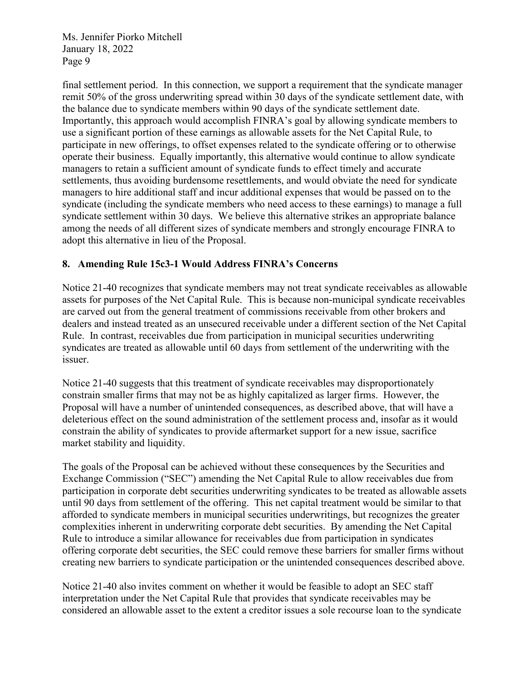final settlement period. In this connection, we support a requirement that the syndicate manager remit 50% of the gross underwriting spread within 30 days of the syndicate settlement date, with the balance due to syndicate members within 90 days of the syndicate settlement date. Importantly, this approach would accomplish FINRA's goal by allowing syndicate members to use a significant portion of these earnings as allowable assets for the Net Capital Rule, to participate in new offerings, to offset expenses related to the syndicate offering or to otherwise operate their business. Equally importantly, this alternative would continue to allow syndicate managers to retain a sufficient amount of syndicate funds to effect timely and accurate settlements, thus avoiding burdensome resettlements, and would obviate the need for syndicate managers to hire additional staff and incur additional expenses that would be passed on to the syndicate (including the syndicate members who need access to these earnings) to manage a full syndicate settlement within 30 days. We believe this alternative strikes an appropriate balance among the needs of all different sizes of syndicate members and strongly encourage FINRA to adopt this alternative in lieu of the Proposal.

### **8. Amending Rule 15c3-1 Would Address FINRA's Concerns**

Notice 21-40 recognizes that syndicate members may not treat syndicate receivables as allowable assets for purposes of the Net Capital Rule. This is because non-municipal syndicate receivables are carved out from the general treatment of commissions receivable from other brokers and dealers and instead treated as an unsecured receivable under a different section of the Net Capital Rule. In contrast, receivables due from participation in municipal securities underwriting syndicates are treated as allowable until 60 days from settlement of the underwriting with the issuer.

Notice 21-40 suggests that this treatment of syndicate receivables may disproportionately constrain smaller firms that may not be as highly capitalized as larger firms. However, the Proposal will have a number of unintended consequences, as described above, that will have a deleterious effect on the sound administration of the settlement process and, insofar as it would constrain the ability of syndicates to provide aftermarket support for a new issue, sacrifice market stability and liquidity.

The goals of the Proposal can be achieved without these consequences by the Securities and Exchange Commission ("SEC") amending the Net Capital Rule to allow receivables due from participation in corporate debt securities underwriting syndicates to be treated as allowable assets until 90 days from settlement of the offering. This net capital treatment would be similar to that afforded to syndicate members in municipal securities underwritings, but recognizes the greater complexities inherent in underwriting corporate debt securities. By amending the Net Capital Rule to introduce a similar allowance for receivables due from participation in syndicates offering corporate debt securities, the SEC could remove these barriers for smaller firms without creating new barriers to syndicate participation or the unintended consequences described above.

Notice 21-40 also invites comment on whether it would be feasible to adopt an SEC staff interpretation under the Net Capital Rule that provides that syndicate receivables may be considered an allowable asset to the extent a creditor issues a sole recourse loan to the syndicate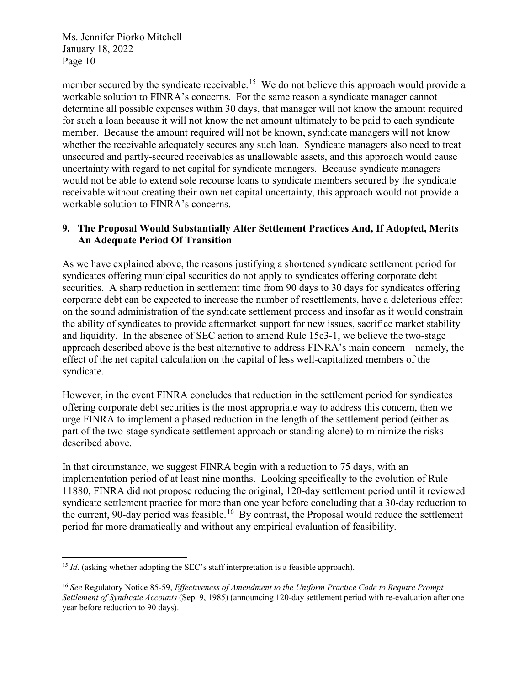member secured by the syndicate receivable.<sup>15</sup> We do not believe this approach would provide a workable solution to FINRA's concerns. For the same reason a syndicate manager cannot determine all possible expenses within 30 days, that manager will not know the amount required for such a loan because it will not know the net amount ultimately to be paid to each syndicate member. Because the amount required will not be known, syndicate managers will not know whether the receivable adequately secures any such loan. Syndicate managers also need to treat unsecured and partly-secured receivables as unallowable assets, and this approach would cause uncertainty with regard to net capital for syndicate managers. Because syndicate managers would not be able to extend sole recourse loans to syndicate members secured by the syndicate receivable without creating their own net capital uncertainty, this approach would not provide a workable solution to FINRA's concerns.

### **9. The Proposal Would Substantially Alter Settlement Practices And, If Adopted, Merits An Adequate Period Of Transition**

As we have explained above, the reasons justifying a shortened syndicate settlement period for syndicates offering municipal securities do not apply to syndicates offering corporate debt securities. A sharp reduction in settlement time from 90 days to 30 days for syndicates offering corporate debt can be expected to increase the number of resettlements, have a deleterious effect on the sound administration of the syndicate settlement process and insofar as it would constrain the ability of syndicates to provide aftermarket support for new issues, sacrifice market stability and liquidity. In the absence of SEC action to amend Rule 15c3-1, we believe the two-stage approach described above is the best alternative to address FINRA's main concern – namely, the effect of the net capital calculation on the capital of less well-capitalized members of the syndicate.

However, in the event FINRA concludes that reduction in the settlement period for syndicates offering corporate debt securities is the most appropriate way to address this concern, then we urge FINRA to implement a phased reduction in the length of the settlement period (either as part of the two-stage syndicate settlement approach or standing alone) to minimize the risks described above.

In that circumstance, we suggest FINRA begin with a reduction to 75 days, with an implementation period of at least nine months. Looking specifically to the evolution of Rule 11880, FINRA did not propose reducing the original, 120-day settlement period until it reviewed syndicate settlement practice for more than one year before concluding that a 30-day reduction to the current, 90-day period was feasible.<sup>[16](#page-9-1)</sup> By contrast, the Proposal would reduce the settlement period far more dramatically and without any empirical evaluation of feasibility.

<span id="page-9-0"></span><sup>&</sup>lt;sup>15</sup> *Id*. (asking whether adopting the SEC's staff interpretation is a feasible approach).

<span id="page-9-1"></span><sup>16</sup> *See* Regulatory Notice 85-59, *Effectiveness of Amendment to the Uniform Practice Code to Require Prompt Settlement of Syndicate Accounts* (Sep. 9, 1985) (announcing 120-day settlement period with re-evaluation after one year before reduction to 90 days).